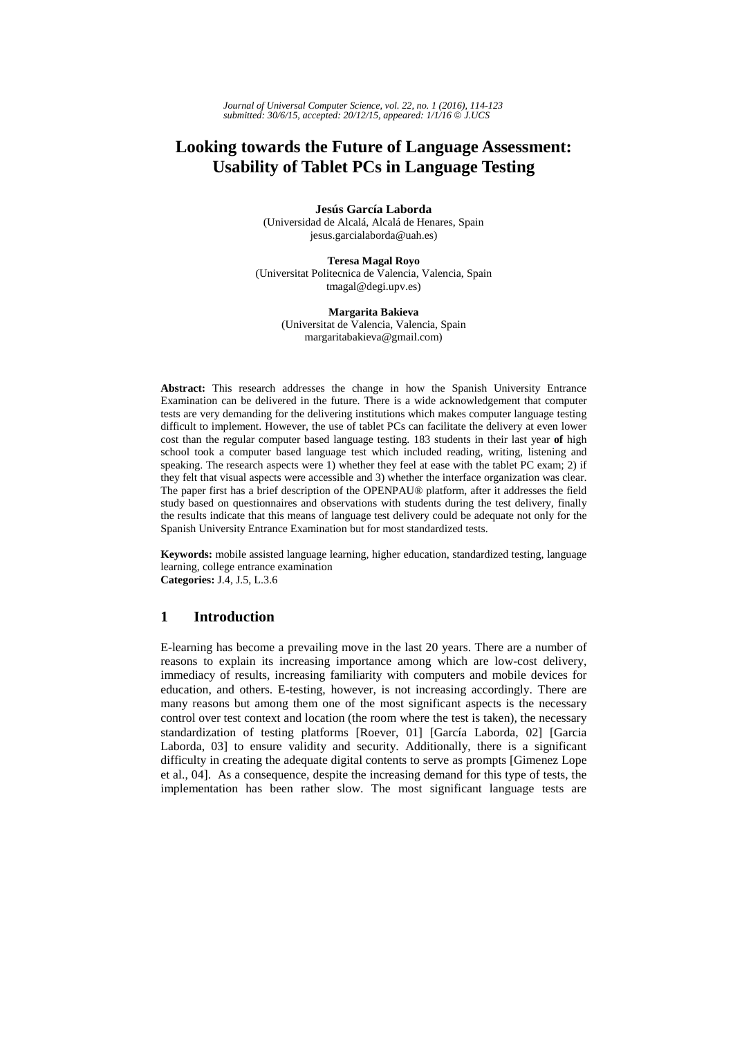# **Looking towards the Future of Language Assessment: Usability of Tablet PCs in Language Testing**

**Jesús García Laborda**  (Universidad de Alcalá, Alcalá de Henares, Spain jesus.garcialaborda@uah.es)

**Teresa Magal Royo**  (Universitat Politecnica de Valencia, Valencia, Spain tmagal@degi.upv.es)

> **Margarita Bakieva**  (Universitat de Valencia, Valencia, Spain margaritabakieva@gmail.com)

**Abstract:** This research addresses the change in how the Spanish University Entrance Examination can be delivered in the future. There is a wide acknowledgement that computer tests are very demanding for the delivering institutions which makes computer language testing difficult to implement. However, the use of tablet PCs can facilitate the delivery at even lower cost than the regular computer based language testing. 183 students in their last year **of** high school took a computer based language test which included reading, writing, listening and speaking. The research aspects were 1) whether they feel at ease with the tablet PC exam; 2) if they felt that visual aspects were accessible and 3) whether the interface organization was clear. The paper first has a brief description of the OPENPAU® platform, after it addresses the field study based on questionnaires and observations with students during the test delivery, finally the results indicate that this means of language test delivery could be adequate not only for the Spanish University Entrance Examination but for most standardized tests.

**Keywords:** mobile assisted language learning, higher education, standardized testing, language learning, college entrance examination **Categories:** J.4, J.5, L.3.6

# **1 Introduction**

E-learning has become a prevailing move in the last 20 years. There are a number of reasons to explain its increasing importance among which are low-cost delivery, immediacy of results, increasing familiarity with computers and mobile devices for education, and others. E-testing, however, is not increasing accordingly. There are many reasons but among them one of the most significant aspects is the necessary control over test context and location (the room where the test is taken), the necessary standardization of testing platforms [Roever, 01] [García Laborda, 02] [Garcia Laborda, 03] to ensure validity and security. Additionally, there is a significant difficulty in creating the adequate digital contents to serve as prompts [Gimenez Lope et al., 04]. As a consequence, despite the increasing demand for this type of tests, the implementation has been rather slow. The most significant language tests are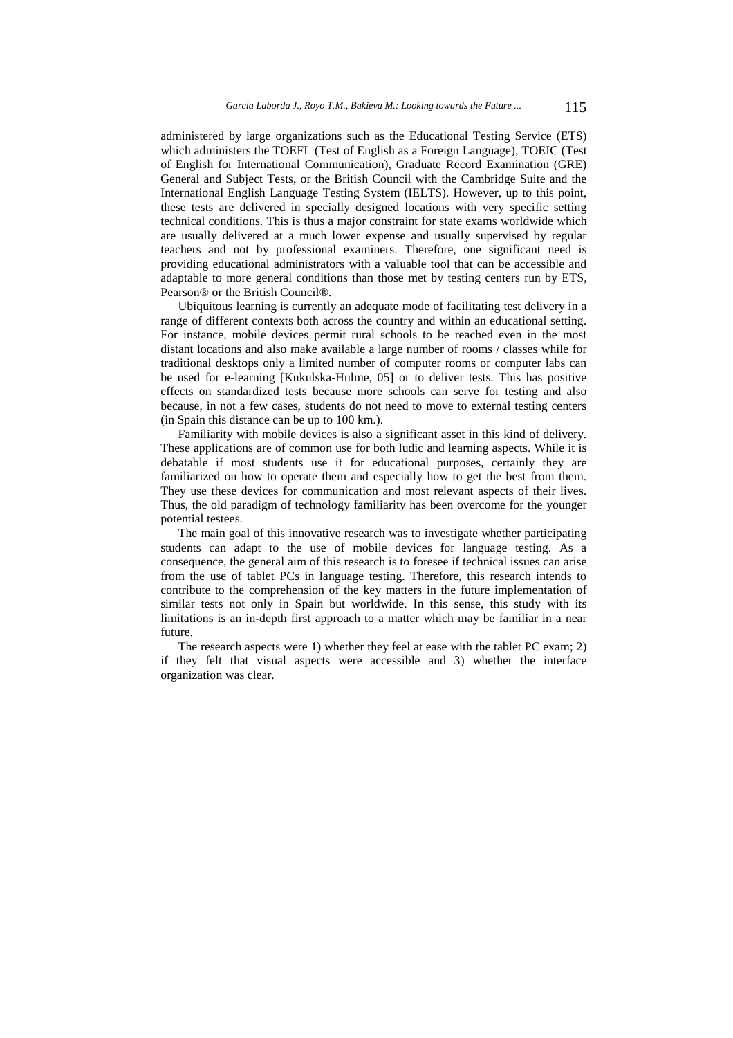administered by large organizations such as the Educational Testing Service (ETS) which administers the TOEFL (Test of English as a Foreign Language), TOEIC (Test of English for International Communication), Graduate Record Examination (GRE) General and Subject Tests, or the British Council with the Cambridge Suite and the International English Language Testing System (IELTS). However, up to this point, these tests are delivered in specially designed locations with very specific setting technical conditions. This is thus a major constraint for state exams worldwide which are usually delivered at a much lower expense and usually supervised by regular teachers and not by professional examiners. Therefore, one significant need is providing educational administrators with a valuable tool that can be accessible and adaptable to more general conditions than those met by testing centers run by ETS, Pearson® or the British Council®.

Ubiquitous learning is currently an adequate mode of facilitating test delivery in a range of different contexts both across the country and within an educational setting. For instance, mobile devices permit rural schools to be reached even in the most distant locations and also make available a large number of rooms / classes while for traditional desktops only a limited number of computer rooms or computer labs can be used for e-learning [Kukulska-Hulme, 05] or to deliver tests. This has positive effects on standardized tests because more schools can serve for testing and also because, in not a few cases, students do not need to move to external testing centers (in Spain this distance can be up to 100 km.).

Familiarity with mobile devices is also a significant asset in this kind of delivery. These applications are of common use for both ludic and learning aspects. While it is debatable if most students use it for educational purposes, certainly they are familiarized on how to operate them and especially how to get the best from them. They use these devices for communication and most relevant aspects of their lives. Thus, the old paradigm of technology familiarity has been overcome for the younger potential testees.

The main goal of this innovative research was to investigate whether participating students can adapt to the use of mobile devices for language testing. As a consequence, the general aim of this research is to foresee if technical issues can arise from the use of tablet PCs in language testing. Therefore, this research intends to contribute to the comprehension of the key matters in the future implementation of similar tests not only in Spain but worldwide. In this sense, this study with its limitations is an in-depth first approach to a matter which may be familiar in a near future.

The research aspects were 1) whether they feel at ease with the tablet PC exam; 2) if they felt that visual aspects were accessible and 3) whether the interface organization was clear.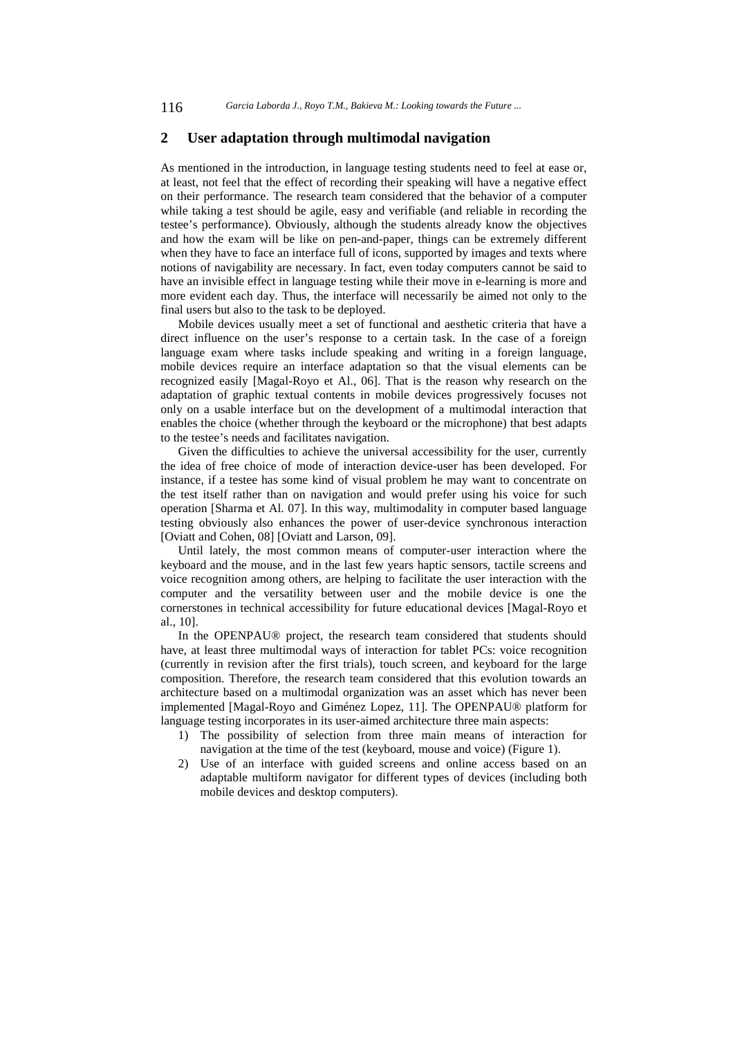### **2 User adaptation through multimodal navigation**

As mentioned in the introduction, in language testing students need to feel at ease or, at least, not feel that the effect of recording their speaking will have a negative effect on their performance. The research team considered that the behavior of a computer while taking a test should be agile, easy and verifiable (and reliable in recording the testee's performance). Obviously, although the students already know the objectives and how the exam will be like on pen-and-paper, things can be extremely different when they have to face an interface full of icons, supported by images and texts where notions of navigability are necessary. In fact, even today computers cannot be said to have an invisible effect in language testing while their move in e-learning is more and more evident each day. Thus, the interface will necessarily be aimed not only to the final users but also to the task to be deployed.

Mobile devices usually meet a set of functional and aesthetic criteria that have a direct influence on the user's response to a certain task. In the case of a foreign language exam where tasks include speaking and writing in a foreign language, mobile devices require an interface adaptation so that the visual elements can be recognized easily [Magal-Royo et Al., 06]. That is the reason why research on the adaptation of graphic textual contents in mobile devices progressively focuses not only on a usable interface but on the development of a multimodal interaction that enables the choice (whether through the keyboard or the microphone) that best adapts to the testee's needs and facilitates navigation.

Given the difficulties to achieve the universal accessibility for the user, currently the idea of free choice of mode of interaction device-user has been developed. For instance, if a testee has some kind of visual problem he may want to concentrate on the test itself rather than on navigation and would prefer using his voice for such operation [Sharma et Al. 07]. In this way, multimodality in computer based language testing obviously also enhances the power of user-device synchronous interaction [Oviatt and Cohen, 08] [Oviatt and Larson, 09].

Until lately, the most common means of computer-user interaction where the keyboard and the mouse, and in the last few years haptic sensors, tactile screens and voice recognition among others, are helping to facilitate the user interaction with the computer and the versatility between user and the mobile device is one the cornerstones in technical accessibility for future educational devices [Magal-Royo et al., 10].

In the OPENPAU® project, the research team considered that students should have, at least three multimodal ways of interaction for tablet PCs: voice recognition (currently in revision after the first trials), touch screen, and keyboard for the large composition. Therefore, the research team considered that this evolution towards an architecture based on a multimodal organization was an asset which has never been implemented [Magal-Royo and Giménez Lopez, 11]. The OPENPAU® platform for language testing incorporates in its user-aimed architecture three main aspects:

- 1) The possibility of selection from three main means of interaction for navigation at the time of the test (keyboard, mouse and voice) (Figure 1).
- 2) Use of an interface with guided screens and online access based on an adaptable multiform navigator for different types of devices (including both mobile devices and desktop computers).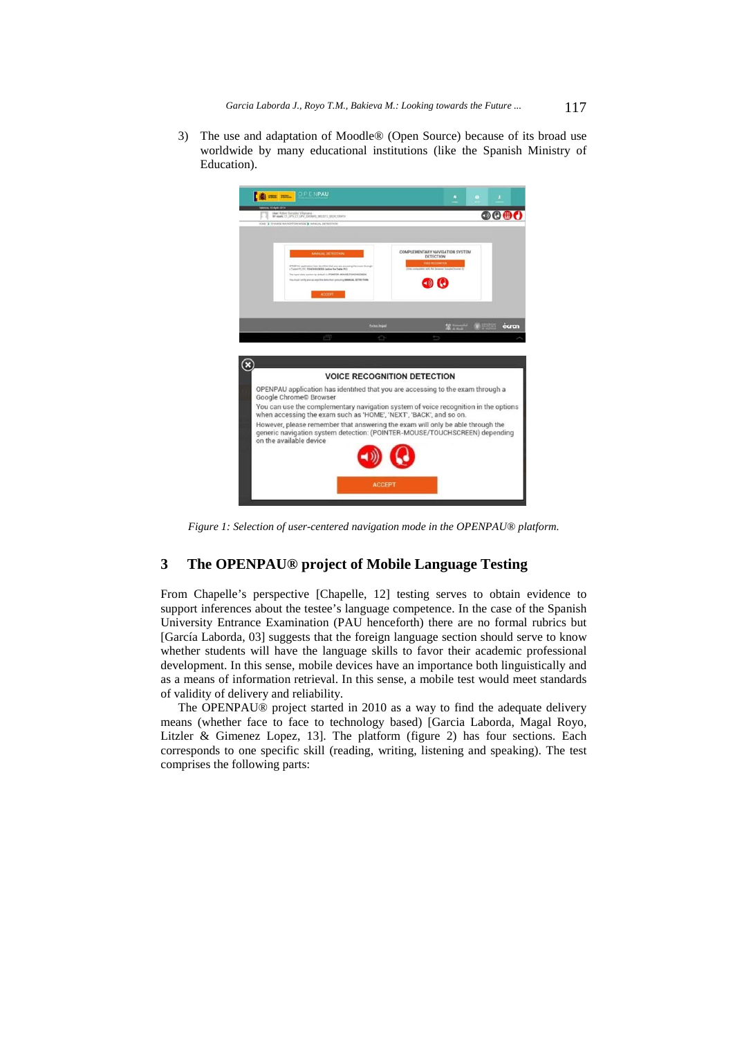3) The use and adaptation of Moodle® (Open Source) because of its broad use worldwide by many educational institutions (like the Spanish Ministry of Education).



*Figure 1: Selection of user-centered navigation mode in the OPENPAU® platform.* 

# **3 The OPENPAU® project of Mobile Language Testing**

From Chapelle's perspective [Chapelle, 12] testing serves to obtain evidence to support inferences about the testee's language competence. In the case of the Spanish University Entrance Examination (PAU henceforth) there are no formal rubrics but [García Laborda, 03] suggests that the foreign language section should serve to know whether students will have the language skills to favor their academic professional development. In this sense, mobile devices have an importance both linguistically and as a means of information retrieval. In this sense, a mobile test would meet standards of validity of delivery and reliability.

The OPENPAU® project started in 2010 as a way to find the adequate delivery means (whether face to face to technology based) [Garcia Laborda, Magal Royo, Litzler & Gimenez Lopez, 13]. The platform (figure 2) has four sections. Each corresponds to one specific skill (reading, writing, listening and speaking). The test comprises the following parts: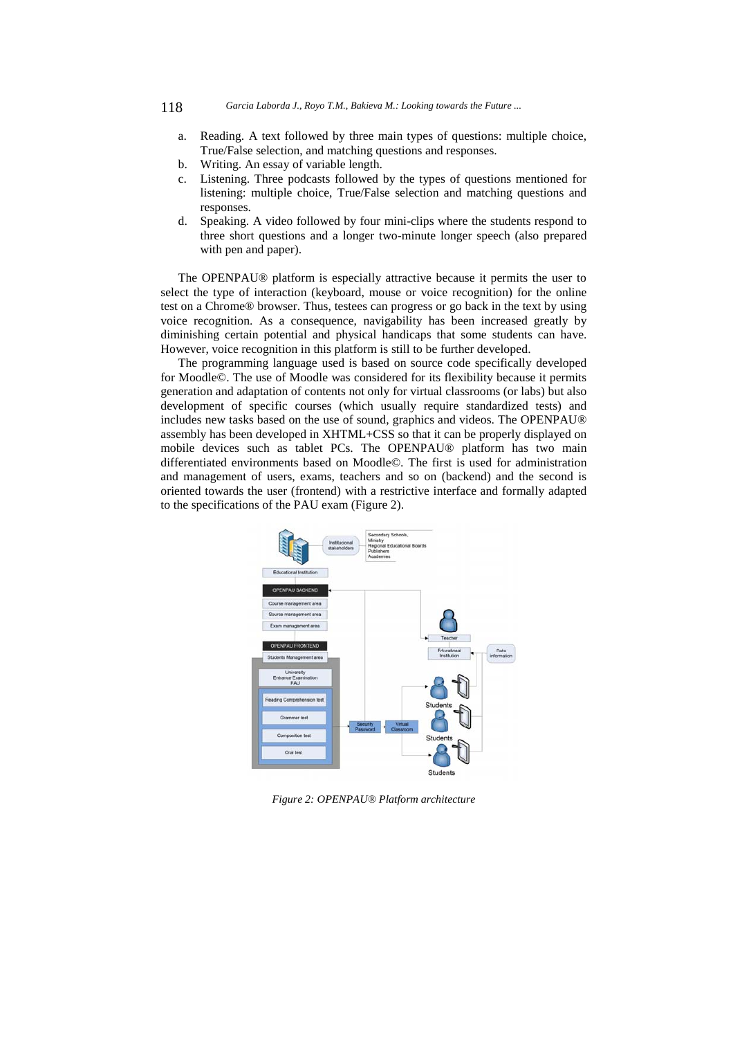- 118 *Garcia Laborda J., Royo T.M., Bakieva M.: Looking towards the Future ...*
	- a. Reading. A text followed by three main types of questions: multiple choice, True/False selection, and matching questions and responses.
	- b. Writing. An essay of variable length.
	- c. Listening. Three podcasts followed by the types of questions mentioned for listening: multiple choice, True/False selection and matching questions and responses.
	- d. Speaking. A video followed by four mini-clips where the students respond to three short questions and a longer two-minute longer speech (also prepared with pen and paper).

The OPENPAU® platform is especially attractive because it permits the user to select the type of interaction (keyboard, mouse or voice recognition) for the online test on a Chrome® browser. Thus, testees can progress or go back in the text by using voice recognition. As a consequence, navigability has been increased greatly by diminishing certain potential and physical handicaps that some students can have. However, voice recognition in this platform is still to be further developed.

The programming language used is based on source code specifically developed for Moodle©. The use of Moodle was considered for its flexibility because it permits generation and adaptation of contents not only for virtual classrooms (or labs) but also development of specific courses (which usually require standardized tests) and includes new tasks based on the use of sound, graphics and videos. The OPENPAU® assembly has been developed in XHTML+CSS so that it can be properly displayed on mobile devices such as tablet PCs. The OPENPAU® platform has two main differentiated environments based on Moodle©. The first is used for administration and management of users, exams, teachers and so on (backend) and the second is oriented towards the user (frontend) with a restrictive interface and formally adapted to the specifications of the PAU exam (Figure 2).



*Figure 2: OPENPAU® Platform architecture*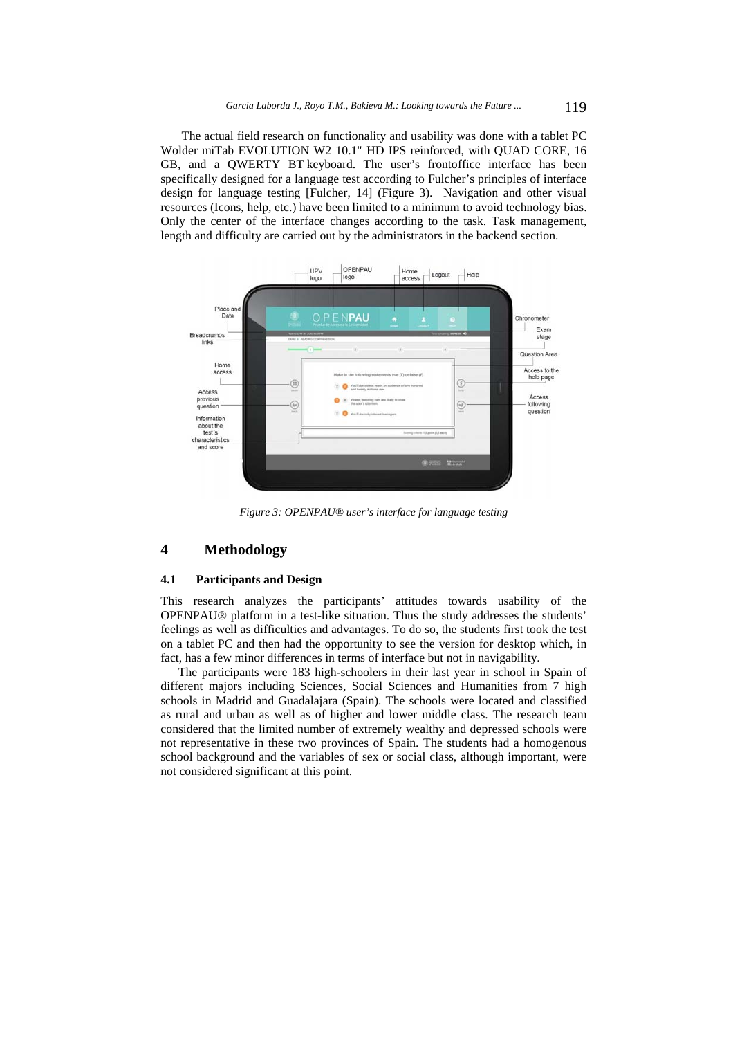The actual field research on functionality and usability was done with a tablet PC Wolder miTab EVOLUTION W2 10.1" HD IPS reinforced, with QUAD CORE, 16 GB, and a QWERTY BT keyboard. The user's frontoffice interface has been specifically designed for a language test according to Fulcher's principles of interface design for language testing [Fulcher, 14] (Figure 3). Navigation and other visual resources (Icons, help, etc.) have been limited to a minimum to avoid technology bias. Only the center of the interface changes according to the task. Task management, length and difficulty are carried out by the administrators in the backend section.



*Figure 3: OPENPAU® user's interface for language testing* 

# **4 Methodology**

#### **4.1 Participants and Design**

This research analyzes the participants' attitudes towards usability of the OPENPAU® platform in a test-like situation. Thus the study addresses the students' feelings as well as difficulties and advantages. To do so, the students first took the test on a tablet PC and then had the opportunity to see the version for desktop which, in fact, has a few minor differences in terms of interface but not in navigability.

The participants were 183 high-schoolers in their last year in school in Spain of different majors including Sciences, Social Sciences and Humanities from 7 high schools in Madrid and Guadalajara (Spain). The schools were located and classified as rural and urban as well as of higher and lower middle class. The research team considered that the limited number of extremely wealthy and depressed schools were not representative in these two provinces of Spain. The students had a homogenous school background and the variables of sex or social class, although important, were not considered significant at this point.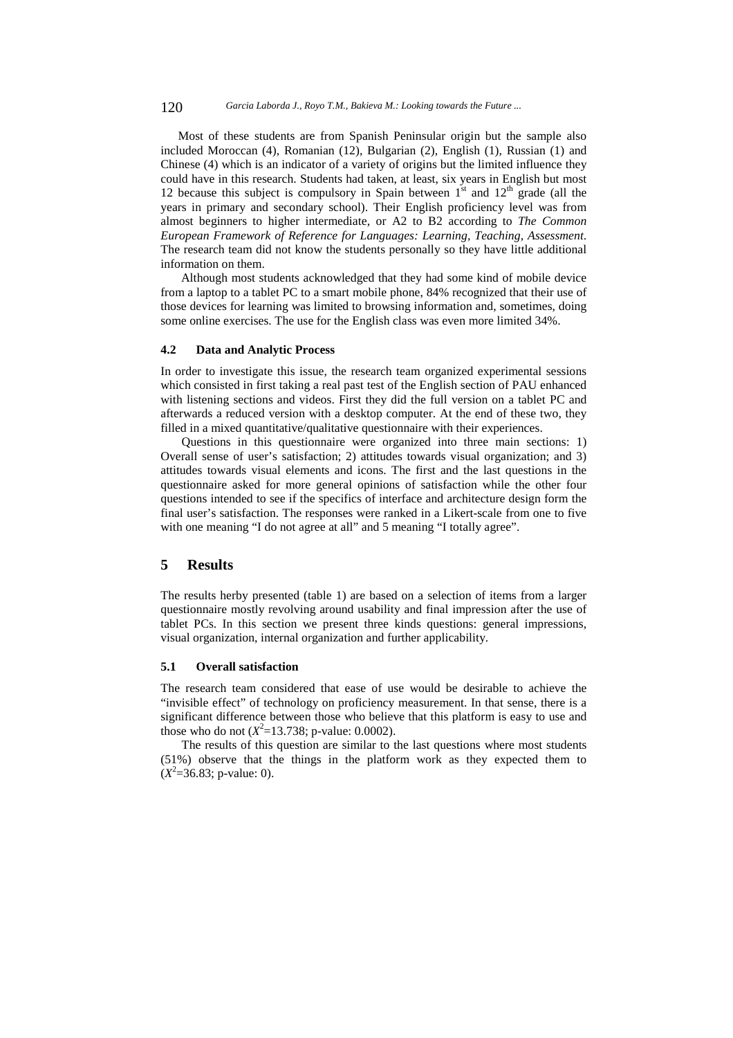Most of these students are from Spanish Peninsular origin but the sample also included Moroccan (4), Romanian (12), Bulgarian (2), English (1), Russian (1) and Chinese (4) which is an indicator of a variety of origins but the limited influence they could have in this research. Students had taken, at least, six years in English but most 12 because this subject is compulsory in Spain between  $1<sup>st</sup>$  and  $12<sup>th</sup>$  grade (all the years in primary and secondary school). Their English proficiency level was from almost beginners to higher intermediate, or A2 to B2 according to *The Common European Framework of Reference for Languages: Learning, Teaching, Assessment*. The research team did not know the students personally so they have little additional information on them.

 Although most students acknowledged that they had some kind of mobile device from a laptop to a tablet PC to a smart mobile phone, 84% recognized that their use of those devices for learning was limited to browsing information and, sometimes, doing some online exercises. The use for the English class was even more limited 34%.

#### **4.2 Data and Analytic Process**

In order to investigate this issue, the research team organized experimental sessions which consisted in first taking a real past test of the English section of PAU enhanced with listening sections and videos. First they did the full version on a tablet PC and afterwards a reduced version with a desktop computer. At the end of these two, they filled in a mixed quantitative/qualitative questionnaire with their experiences.

Questions in this questionnaire were organized into three main sections: 1) Overall sense of user's satisfaction; 2) attitudes towards visual organization; and 3) attitudes towards visual elements and icons. The first and the last questions in the questionnaire asked for more general opinions of satisfaction while the other four questions intended to see if the specifics of interface and architecture design form the final user's satisfaction. The responses were ranked in a Likert-scale from one to five with one meaning "I do not agree at all" and 5 meaning "I totally agree".

# **5 Results**

The results herby presented (table 1) are based on a selection of items from a larger questionnaire mostly revolving around usability and final impression after the use of tablet PCs. In this section we present three kinds questions: general impressions, visual organization, internal organization and further applicability.

#### **5.1 Overall satisfaction**

The research team considered that ease of use would be desirable to achieve the "invisible effect" of technology on proficiency measurement. In that sense, there is a significant difference between those who believe that this platform is easy to use and those who do not  $(X^2=13.738; \text{ p-value}: 0.0002)$ .

The results of this question are similar to the last questions where most students (51%) observe that the things in the platform work as they expected them to  $(X^2=36.83; \text{ p-value: 0}).$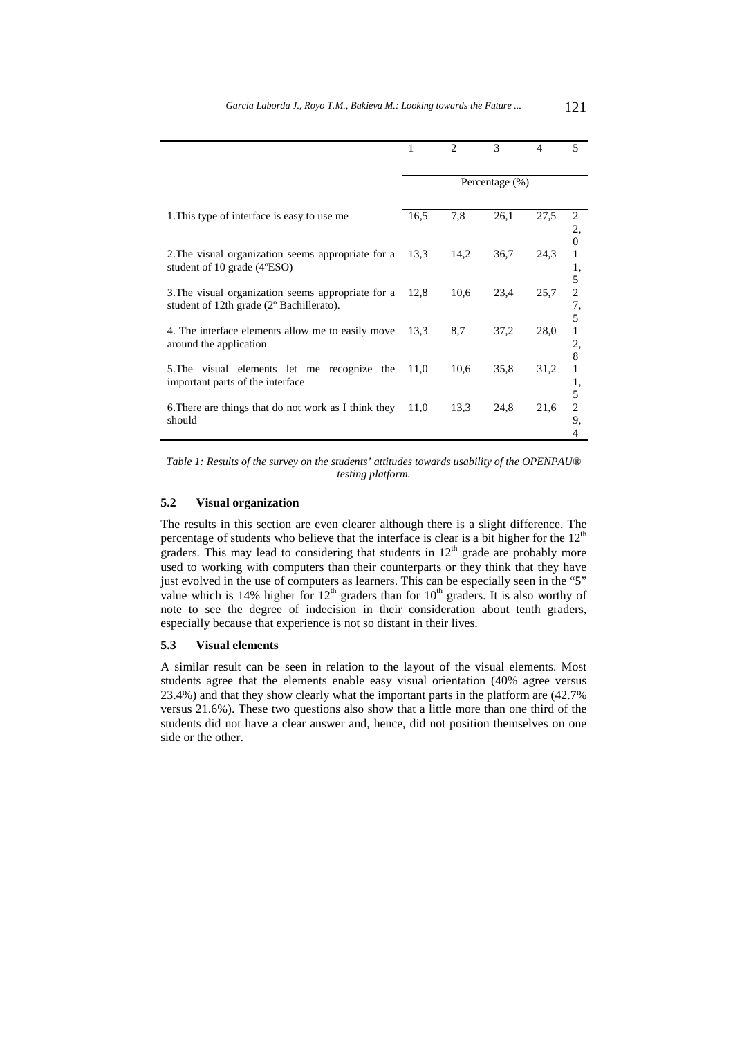|                                                                                                                                                                                                          | 1              | $\mathfrak{D}$ | 3    | 4    | 5        |
|----------------------------------------------------------------------------------------------------------------------------------------------------------------------------------------------------------|----------------|----------------|------|------|----------|
|                                                                                                                                                                                                          |                |                |      |      |          |
|                                                                                                                                                                                                          | Percentage (%) |                |      |      |          |
|                                                                                                                                                                                                          |                |                |      |      |          |
| 1. This type of interface is easy to use me                                                                                                                                                              | 16.5           | 7,8            | 26,1 | 27,5 |          |
|                                                                                                                                                                                                          |                |                |      |      | 2,       |
| 2. The visual organization seems appropriate for a<br>student of 10 grade $(4^{\circ}ESO)$<br>3. The visual organization seems appropriate for a<br>student of 12th grade (2 <sup>o</sup> Bachillerato). | 13.3           | 14,2           | 36,7 | 24,3 | $\Omega$ |
|                                                                                                                                                                                                          |                |                |      |      | 1,       |
|                                                                                                                                                                                                          |                |                |      |      | 5        |
|                                                                                                                                                                                                          | 12,8           | 10,6           | 23,4 | 25,7 | 2        |
|                                                                                                                                                                                                          |                |                |      |      | 7,<br>5  |
| 4. The interface elements allow me to easily move<br>around the application                                                                                                                              | 13,3           | 8,7            | 37,2 | 28,0 |          |
|                                                                                                                                                                                                          |                |                |      |      | 2,       |
|                                                                                                                                                                                                          |                |                |      |      | 8        |
| 5. The visual elements let me recognize the<br>important parts of the interface                                                                                                                          | 11,0           | 10,6           | 35,8 | 31,2 | 1        |
|                                                                                                                                                                                                          |                |                |      |      | 1,<br>5  |
| 6. There are things that do not work as I think they<br>should                                                                                                                                           | 11,0           | 13.3           | 24,8 | 21,6 | 2        |
|                                                                                                                                                                                                          |                |                |      |      | 9,       |
|                                                                                                                                                                                                          |                |                |      |      | 4        |

*Table 1: Results of the survey on the students' attitudes towards usability of the OPENPAU® testing platform.* 

### **5.2 Visual organization**

The results in this section are even clearer although there is a slight difference. The percentage of students who believe that the interface is clear is a bit higher for the  $12<sup>th</sup>$ graders. This may lead to considering that students in  $12<sup>th</sup>$  grade are probably more used to working with computers than their counterparts or they think that they have just evolved in the use of computers as learners. This can be especially seen in the "5" value which is 14% higher for  $12<sup>th</sup>$  graders than for  $10<sup>th</sup>$  graders. It is also worthy of note to see the degree of indecision in their consideration about tenth graders, especially because that experience is not so distant in their lives.

## **5.3 Visual elements**

A similar result can be seen in relation to the layout of the visual elements. Most students agree that the elements enable easy visual orientation (40% agree versus 23.4%) and that they show clearly what the important parts in the platform are (42.7% versus 21.6%). These two questions also show that a little more than one third of the students did not have a clear answer and, hence, did not position themselves on one side or the other.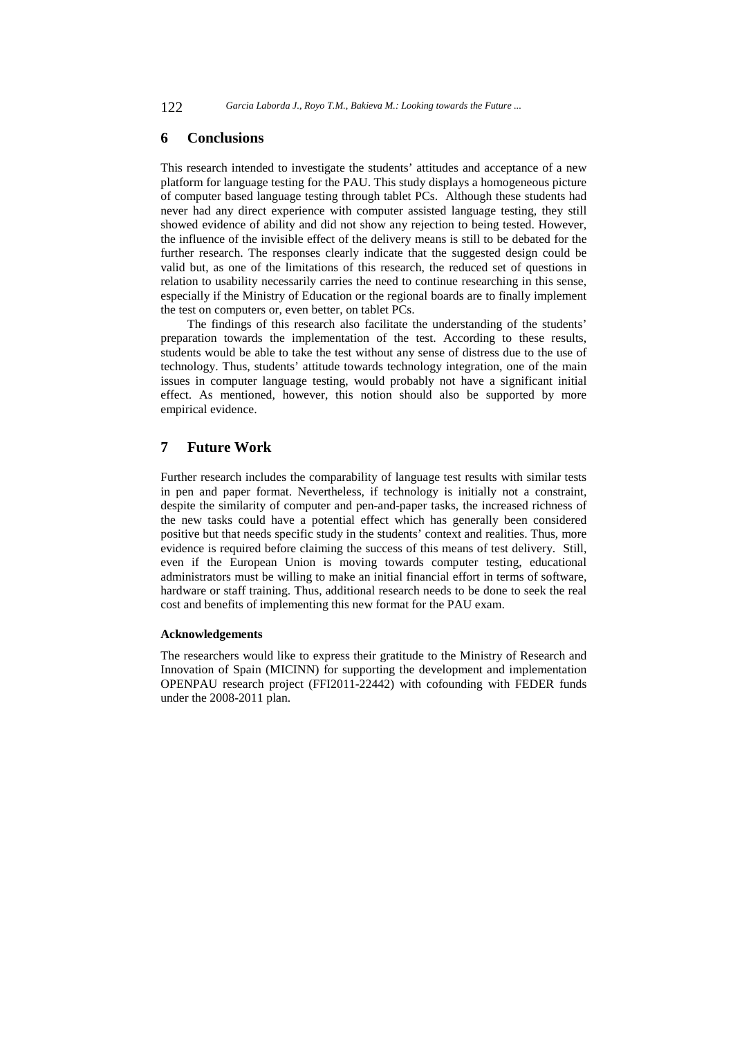### **6 Conclusions**

This research intended to investigate the students' attitudes and acceptance of a new platform for language testing for the PAU. This study displays a homogeneous picture of computer based language testing through tablet PCs. Although these students had never had any direct experience with computer assisted language testing, they still showed evidence of ability and did not show any rejection to being tested. However, the influence of the invisible effect of the delivery means is still to be debated for the further research. The responses clearly indicate that the suggested design could be valid but, as one of the limitations of this research, the reduced set of questions in relation to usability necessarily carries the need to continue researching in this sense, especially if the Ministry of Education or the regional boards are to finally implement the test on computers or, even better, on tablet PCs.

The findings of this research also facilitate the understanding of the students' preparation towards the implementation of the test. According to these results, students would be able to take the test without any sense of distress due to the use of technology. Thus, students' attitude towards technology integration, one of the main issues in computer language testing, would probably not have a significant initial effect. As mentioned, however, this notion should also be supported by more empirical evidence.

# **7 Future Work**

Further research includes the comparability of language test results with similar tests in pen and paper format. Nevertheless, if technology is initially not a constraint, despite the similarity of computer and pen-and-paper tasks, the increased richness of the new tasks could have a potential effect which has generally been considered positive but that needs specific study in the students' context and realities. Thus, more evidence is required before claiming the success of this means of test delivery. Still, even if the European Union is moving towards computer testing, educational administrators must be willing to make an initial financial effort in terms of software, hardware or staff training. Thus, additional research needs to be done to seek the real cost and benefits of implementing this new format for the PAU exam.

### **Acknowledgements**

The researchers would like to express their gratitude to the Ministry of Research and Innovation of Spain (MICINN) for supporting the development and implementation OPENPAU research project (FFI2011-22442) with cofounding with FEDER funds under the 2008-2011 plan.